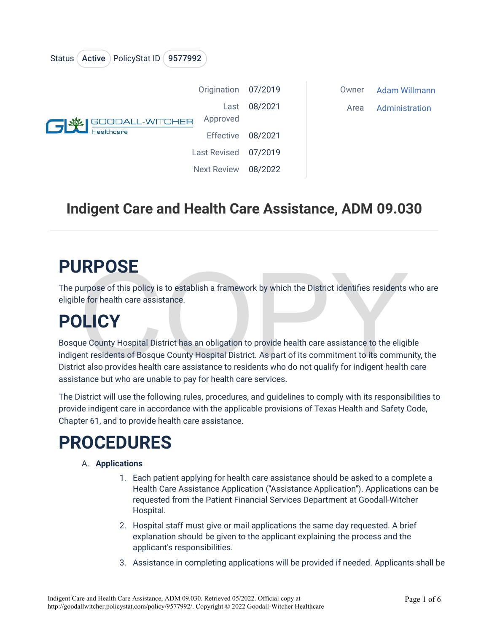| PolicyStat ID (9577992<br>Active )<br><b>Status</b> |                    |         |       |                |
|-----------------------------------------------------|--------------------|---------|-------|----------------|
| <b>GIVE SOODALL-WITCHER</b><br><b>Healthcare</b>    | Origination        | 07/2019 | Owner | Adam Willmann  |
|                                                     | Last<br>Approved   | 08/2021 | Area  | Administration |
|                                                     | <b>Effective</b>   | 08/2021 |       |                |
|                                                     | Last Revised       | 07/2019 |       |                |
|                                                     | <b>Next Review</b> | 08/2022 |       |                |

### **Indigent Care and Health Care Assistance, ADM 09.030**

### **PURPOSE**

The purpose of this policy is to establish a framework by which the District identifies residents who are eligible for health care assistance.

# **POLICY**

**RPOSE**<br>
urpose of this policy is to establish a framework by which the District identifies residents<br>
le for health care assistance.<br> **DECY**<br>
ue County Hospital District has an obligation to provide health care assistance Bosque County Hospital District has an obligation to provide health care assistance to the eligible indigent residents of Bosque County Hospital District. As part of its commitment to its community, the District also provides health care assistance to residents who do not qualify for indigent health care assistance but who are unable to pay for health care services.

The District will use the following rules, procedures, and guidelines to comply with its responsibilities to provide indigent care in accordance with the applicable provisions of Texas Health and Safety Code, Chapter 61, and to provide health care assistance.

## **PROCEDURES**

#### A. **Applications**

- 1. Each patient applying for health care assistance should be asked to a complete a Health Care Assistance Application ("Assistance Application"). Applications can be requested from the Patient Financial Services Department at Goodall-Witcher Hospital.
- 2. Hospital staff must give or mail applications the same day requested. A brief explanation should be given to the applicant explaining the process and the applicant's responsibilities.
- 3. Assistance in completing applications will be provided if needed. Applicants shall be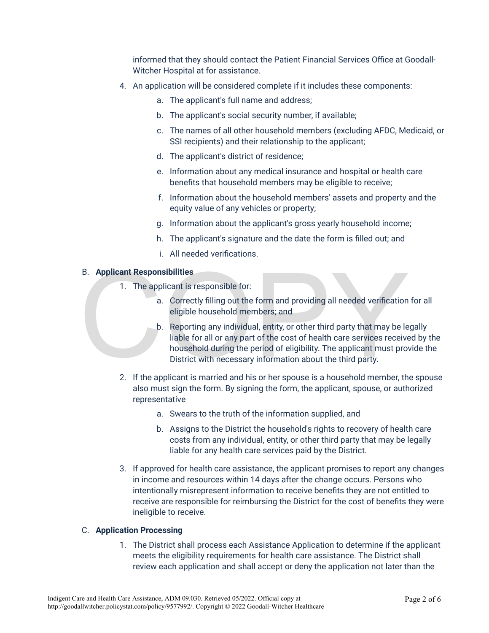informed that they should contact the Patient Financial Services Office at Goodall-Witcher Hospital at for assistance.

- 4. An application will be considered complete if it includes these components:
	- a. The applicant's full name and address;
	- b. The applicant's social security number, if available;
	- c. The names of all other household members (excluding AFDC, Medicaid, or SSI recipients) and their relationship to the applicant;
	- d. The applicant's district of residence;
	- e. Information about any medical insurance and hospital or health care benefits that household members may be eligible to receive;
	- f. Information about the household members' assets and property and the equity value of any vehicles or property;
	- g. Information about the applicant's gross yearly household income;
	- h. The applicant's signature and the date the form is filled out; and
	- i. All needed verifications.

#### B. **Applicant Responsibilities**

- 1. The applicant is responsible for:
	- a. Correctly filling out the form and providing all needed verification for all eligible household members; and
- B. **Applicant Responsibilities**<br>
1. The applicant is responsible for:<br>
a. Correctly filling out the form and providing all needed verification<br>
eligible household members; and<br>
b. Reporting any individual, entity, or other b. Reporting any individual, entity, or other third party that may be legally liable for all or any part of the cost of health care services received by the household during the period of eligibility. The applicant must provide the District with necessary information about the third party.
	- 2. If the applicant is married and his or her spouse is a household member, the spouse also must sign the form. By signing the form, the applicant, spouse, or authorized representative
		- a. Swears to the truth of the information supplied, and
		- b. Assigns to the District the household's rights to recovery of health care costs from any individual, entity, or other third party that may be legally liable for any health care services paid by the District.
	- 3. If approved for health care assistance, the applicant promises to report any changes in income and resources within 14 days after the change occurs. Persons who intentionally misrepresent information to receive benefits they are not entitled to receive are responsible for reimbursing the District for the cost of benefits they were ineligible to receive.

#### C. **Application Processing**

1. The District shall process each Assistance Application to determine if the applicant meets the eligibility requirements for health care assistance. The District shall review each application and shall accept or deny the application not later than the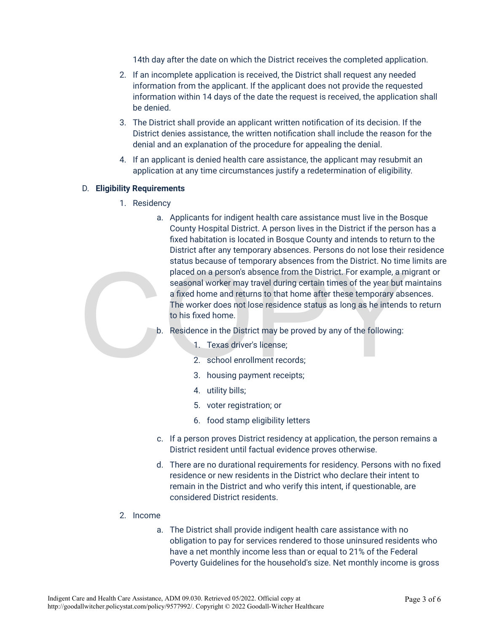14th day after the date on which the District receives the completed application.

- 2. If an incomplete application is received, the District shall request any needed information from the applicant. If the applicant does not provide the requested information within 14 days of the date the request is received, the application shall be denied.
- 3. The District shall provide an applicant written notification of its decision. If the District denies assistance, the written notification shall include the reason for the denial and an explanation of the procedure for appealing the denial.
- 4. If an applicant is denied health care assistance, the applicant may resubmit an application at any time circumstances justify a redetermination of eligibility.

#### D. **Eligibility Requirements**

- 1. Residency
- status because of emporary absences nont the bistrict. No three<br>placed on a person's absence from the District. For example, a m<br>seasonal worker may travel during certain times of the year but n<br>a fixed home and returns to a. Applicants for indigent health care assistance must live in the Bosque County Hospital District. A person lives in the District if the person has a fixed habitation is located in Bosque County and intends to return to the District after any temporary absences. Persons do not lose their residence status because of temporary absences from the District. No time limits are placed on a person's absence from the District. For example, a migrant or seasonal worker may travel during certain times of the year but maintains a fixed home and returns to that home after these temporary absences. The worker does not lose residence status as long as he intends to return to his fixed home.
	- b. Residence in the District may be proved by any of the following:
		- 1. Texas driver's license;
		- 2. school enrollment records;
		- 3. housing payment receipts;
		- 4. utility bills;
		- 5. voter registration; or
		- 6. food stamp eligibility letters
	- c. If a person proves District residency at application, the person remains a District resident until factual evidence proves otherwise.
	- d. There are no durational requirements for residency. Persons with no fixed residence or new residents in the District who declare their intent to remain in the District and who verify this intent, if questionable, are considered District residents.
	- 2. Income
		- a. The District shall provide indigent health care assistance with no obligation to pay for services rendered to those uninsured residents who have a net monthly income less than or equal to 21% of the Federal Poverty Guidelines for the household's size. Net monthly income is gross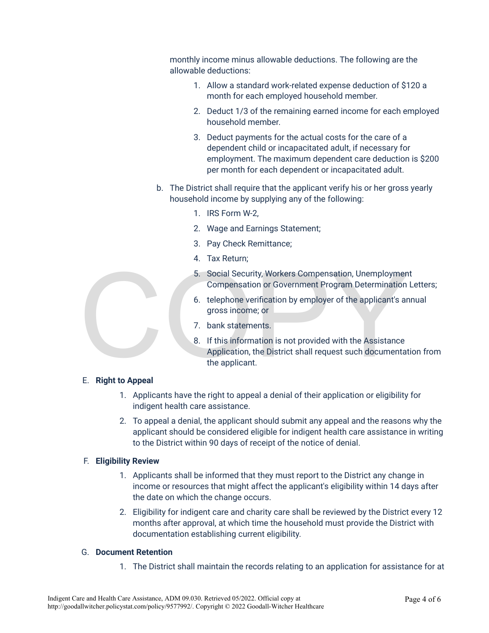monthly income minus allowable deductions. The following are the allowable deductions:

- 1. Allow a standard work-related expense deduction of \$120 a month for each employed household member.
- 2. Deduct 1/3 of the remaining earned income for each employed household member.
- 3. Deduct payments for the actual costs for the care of a dependent child or incapacitated adult, if necessary for employment. The maximum dependent care deduction is \$200 per month for each dependent or incapacitated adult.
- b. The District shall require that the applicant verify his or her gross yearly household income by supplying any of the following:
	- 1. IRS Form W-2,
	- 2. Wage and Earnings Statement;
	- 3. Pay Check Remittance;
	- 4. Tax Return;
	- 5. Social Security, Workers Compensation, Unemployment Compensation or Government Program Determination Letters;
	- 6. telephone verification by employer of the applicant's annual gross income; or
	- 7. bank statements.
- 5. Social Security, Workers Compensation, Unemploymen<br>
Compensation or Government Program Determination<br>
6. telephone verification by employer of the applicant's an<br>
gross income; or<br>
7. bank statements.<br>
8. If this inform 8. If this information is not provided with the Assistance Application, the District shall request such documentation from the applicant.

#### E. **Right to Appeal**

- 1. Applicants have the right to appeal a denial of their application or eligibility for indigent health care assistance.
- 2. To appeal a denial, the applicant should submit any appeal and the reasons why the applicant should be considered eligible for indigent health care assistance in writing to the District within 90 days of receipt of the notice of denial.

#### F. **Eligibility Review**

- 1. Applicants shall be informed that they must report to the District any change in income or resources that might affect the applicant's eligibility within 14 days after the date on which the change occurs.
- 2. Eligibility for indigent care and charity care shall be reviewed by the District every 12 months after approval, at which time the household must provide the District with documentation establishing current eligibility.

#### G. **Document Retention**

1. The District shall maintain the records relating to an application for assistance for at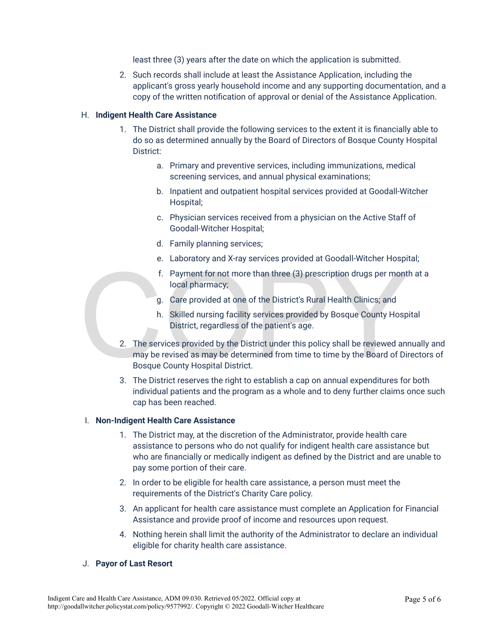least three (3) years after the date on which the application is submitted.

2. Such records shall include at least the Assistance Application, including the applicant's gross yearly household income and any supporting documentation, and a copy of the written notification of approval or denial of the Assistance Application.

#### H. **Indigent Health Care Assistance**

- 1. The District shall provide the following services to the extent it is financially able to do so as determined annually by the Board of Directors of Bosque County Hospital District:
	- a. Primary and preventive services, including immunizations, medical screening services, and annual physical examinations;
	- b. Inpatient and outpatient hospital services provided at Goodall-Witcher Hospital;
	- c. Physician services received from a physician on the Active Staff of Goodall-Witcher Hospital;
	- d. Family planning services;
	- e. Laboratory and X-ray services provided at Goodall-Witcher Hospital;
	- f. Payment for not more than three (3) prescription drugs per month at a local pharmacy;
	- g. Care provided at one of the District's Rural Health Clinics; and
	- h. Skilled nursing facility services provided by Bosque County Hospital District, regardless of the patient's age.
- 1. Payment for not more than three (3) prescription drugs per mont<br>local pharmacy;<br>g. Care provided at one of the District's Rural Health Clinics; and<br>h. Skilled nursing facility services provided by Bosque County Hosp<br>Dis 2. The services provided by the District under this policy shall be reviewed annually and may be revised as may be determined from time to time by the Board of Directors of Bosque County Hospital District.
	- 3. The District reserves the right to establish a cap on annual expenditures for both individual patients and the program as a whole and to deny further claims once such cap has been reached.

#### I. **Non-Indigent Health Care Assistance**

- 1. The District may, at the discretion of the Administrator, provide health care assistance to persons who do not qualify for indigent health care assistance but who are financially or medically indigent as defined by the District and are unable to pay some portion of their care.
- 2. In order to be eligible for health care assistance, a person must meet the requirements of the District's Charity Care policy.
- 3. An applicant for health care assistance must complete an Application for Financial Assistance and provide proof of income and resources upon request.
- 4. Nothing herein shall limit the authority of the Administrator to declare an individual eligible for charity health care assistance.

#### J. **Payor of Last Resort**